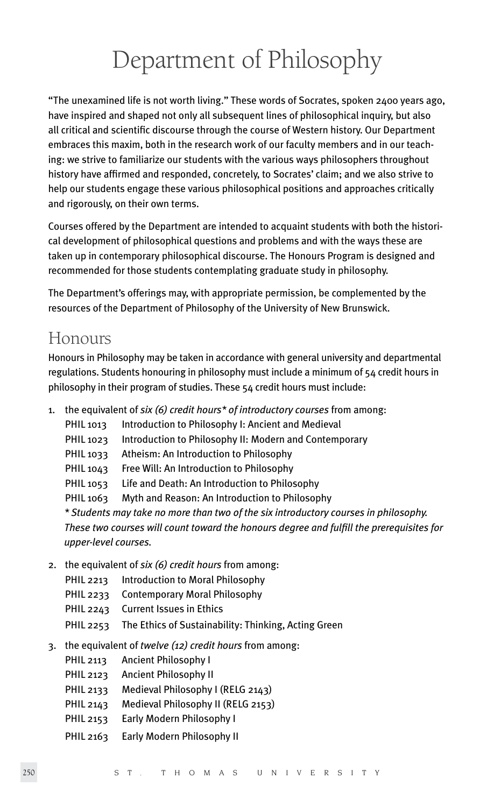# Department of Philosophy

"The unexamined life is not worth living." These words of Socrates, spoken 2400 years ago, have inspired and shaped not only all subsequent lines of philosophical inquiry, but also all critical and scientific discourse through the course of Western history. Our Department embraces this maxim, both in the research work of our faculty members and in our teaching: we strive to familiarize our students with the various ways philosophers throughout history have affirmed and responded, concretely, to Socrates' claim; and we also strive to help our students engage these various philosophical positions and approaches critically and rigorously, on their own terms.

Courses offered by the Department are intended to acquaint students with both the historical development of philosophical questions and problems and with the ways these are taken up in contemporary philosophical discourse. The Honours Program is designed and recommended for those students contemplating graduate study in philosophy.

The Department's offerings may, with appropriate permission, be complemented by the resources of the Department of Philosophy of the University of New Brunswick.

### Honours

Honours in Philosophy may be taken in accordance with general university and departmental regulations. Students honouring in philosophy must include a minimum of 54 credit hours in philosophy in their program of studies. These 54 credit hours must include:

- 1. the equivalent of *six (6) credit hours\* of introductory courses* from among:
	- PHIL 1013 Introduction to Philosophy I: Ancient and Medieval
	- PHIL 1023 Introduction to Philosophy II: Modern and Contemporary
	- PHIL 1033 Atheism: An Introduction to Philosophy
	- PHIL 1043 Free Will: An Introduction to Philosophy
	- PHIL 1053 Life and Death: An Introduction to Philosophy
	- PHIL 1063 Myth and Reason: An Introduction to Philosophy

*\* Students may take no more than two of the six introductory courses in philosophy. These two courses will count toward the honours degree and fulfill the prerequisites for upper-level courses.*

- 2. the equivalent of *six (6) credit hours* from among:
	- PHIL 2213 Introduction to Moral Philosophy
	- PHIL 2233 Contemporary Moral Philosophy
	- PHIL 2243 Current Issues in Ethics
	- PHIL 2253 The Ethics of Sustainability: Thinking, Acting Green
- 3. the equivalent of *twelve (12) credit hours* from among:
	- PHIL 2113 Ancient Philosophy I
	- PHIL 2123 Ancient Philosophy II
	- PHIL 2133 Medieval Philosophy I (RELG 2143)
	- PHIL 2143 Medieval Philosophy II (RELG 2153)
	- PHIL 2153 Early Modern Philosophy I
	- PHIL 2163 Early Modern Philosophy II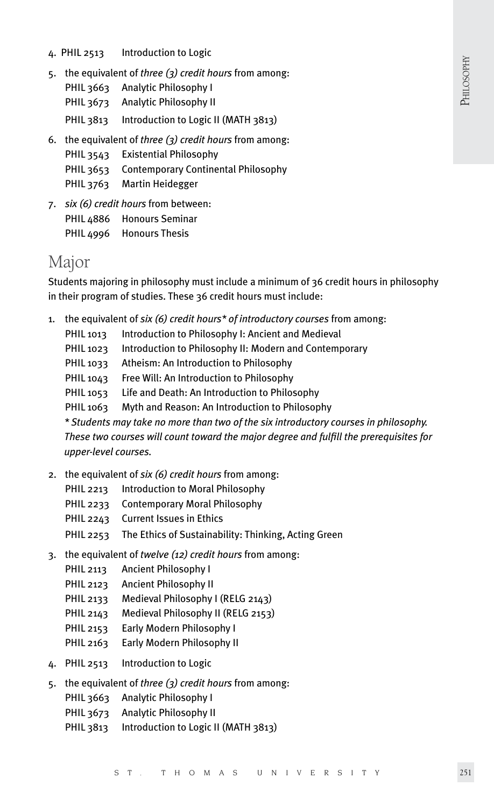PHILOSOPHY PHILOSOPHY

- 4. PHIL 2513 Introduction to Logic
- 5. the equivalent of *three (3) credit hours* from among:
	- PHIL 3663 Analytic Philosophy I
	- PHIL 3673 Analytic Philosophy II
	- PHIL 3813 Introduction to Logic II (MATH 3813)
- 6. the equivalent of *three (3) credit hours* from among:
	- PHIL 3543 Existential Philosophy
	- PHIL 3653 Contemporary Continental Philosophy
	- PHIL 3763 Martin Heidegger
- 7. *six (6) credit hours* from between: PHIL 4886 Honours Seminar PHIL 4996 Honours Thesis

### Major

Students majoring in philosophy must include a minimum of 36 credit hours in philosophy in their program of studies. These 36 credit hours must include:

- 1. the equivalent of *six (6) credit hours\* of introductory courses* from among:
	- PHIL 1013 Introduction to Philosophy I: Ancient and Medieval
	- PHIL 1023 Introduction to Philosophy II: Modern and Contemporary
	- PHIL 1033 Atheism: An Introduction to Philosophy
	- PHIL 1043 Free Will: An Introduction to Philosophy
	- PHIL 1053 Life and Death: An Introduction to Philosophy
	- PHIL 1063 Myth and Reason: An Introduction to Philosophy

*\* Students may take no more than two of the six introductory courses in philosophy. These two courses will count toward the major degree and fulfill the prerequisites for upper-level courses.*

- 2. the equivalent of *six (6) credit hours* from among:
	- PHIL 2213 Introduction to Moral Philosophy
	- PHIL 2233 Contemporary Moral Philosophy
	- PHIL 2243 Current Issues in Ethics
	- PHIL 2253 The Ethics of Sustainability: Thinking, Acting Green
- 3. the equivalent of *twelve (12) credit hours* from among:
	- PHIL 2113 Ancient Philosophy I
	- PHIL 2123 Ancient Philosophy II
	- PHIL 2133 Medieval Philosophy I (RELG 2143)
	- PHIL 2143 Medieval Philosophy II (RELG 2153)
	- PHIL 2153 Early Modern Philosophy I
	- PHIL 2163 Early Modern Philosophy II
- 4. PHIL 2513 Introduction to Logic
- 5. the equivalent of *three (3) credit hours* from among:
	- PHIL 3663 Analytic Philosophy I
	- PHIL 3673 Analytic Philosophy II
	- PHIL 3813 Introduction to Logic II (MATH 3813)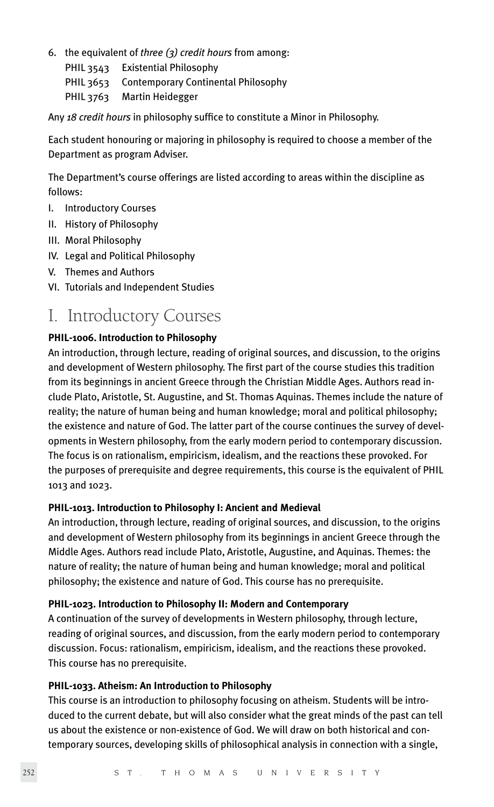6. the equivalent of *three (3) credit hours* from among: PHIL 3543 Existential Philosophy PHIL 3653 Contemporary Continental Philosophy PHIL 3763 Martin Heidegger

Any *18 credit hours* in philosophy suffice to constitute a Minor in Philosophy.

Each student honouring or majoring in philosophy is required to choose a member of the Department as program Adviser.

The Department's course offerings are listed according to areas within the discipline as follows:

- I. Introductory Courses
- II. History of Philosophy
- III. Moral Philosophy
- IV. Legal and Political Philosophy
- V. Themes and Authors
- VI. Tutorials and Independent Studies

# I. Introductory Courses

#### **PHIL-1006. Introduction to Philosophy**

An introduction, through lecture, reading of original sources, and discussion, to the origins and development of Western philosophy. The first part of the course studies this tradition from its beginnings in ancient Greece through the Christian Middle Ages. Authors read include Plato, Aristotle, St. Augustine, and St. Thomas Aquinas. Themes include the nature of reality; the nature of human being and human knowledge; moral and political philosophy; the existence and nature of God. The latter part of the course continues the survey of developments in Western philosophy, from the early modern period to contemporary discussion. The focus is on rationalism, empiricism, idealism, and the reactions these provoked. For the purposes of prerequisite and degree requirements, this course is the equivalent of PHIL 1013 and 1023.

#### **PHIL-1013. Introduction to Philosophy I: Ancient and Medieval**

An introduction, through lecture, reading of original sources, and discussion, to the origins and development of Western philosophy from its beginnings in ancient Greece through the Middle Ages. Authors read include Plato, Aristotle, Augustine, and Aquinas. Themes: the nature of reality; the nature of human being and human knowledge; moral and political philosophy; the existence and nature of God. This course has no prerequisite.

#### **PHIL-1023. Introduction to Philosophy II: Modern and Contemporary**

A continuation of the survey of developments in Western philosophy, through lecture, reading of original sources, and discussion, from the early modern period to contemporary discussion. Focus: rationalism, empiricism, idealism, and the reactions these provoked. This course has no prerequisite.

#### **PHIL-1033. Atheism: An Introduction to Philosophy**

This course is an introduction to philosophy focusing on atheism. Students will be introduced to the current debate, but will also consider what the great minds of the past can tell us about the existence or non-existence of God. We will draw on both historical and contemporary sources, developing skills of philosophical analysis in connection with a single,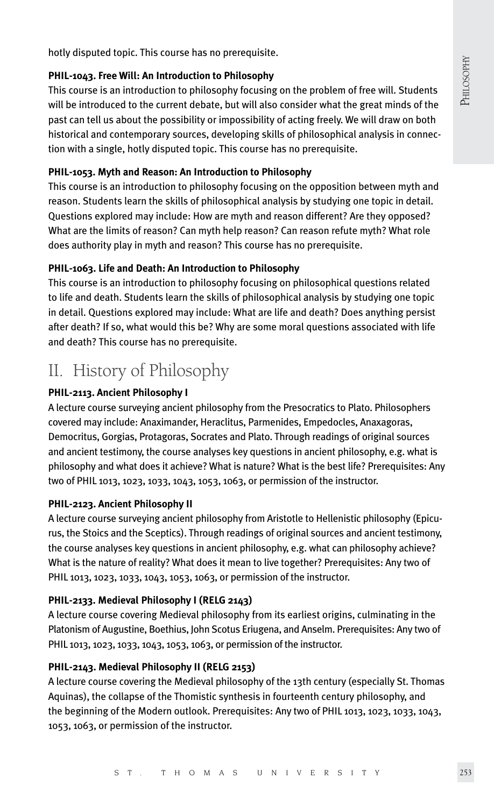PHILOSOPHY PHILOSOPHY

hotly disputed topic. This course has no prerequisite.

#### **PHIL-1043. Free Will: An Introduction to Philosophy**

This course is an introduction to philosophy focusing on the problem of free will. Students will be introduced to the current debate, but will also consider what the great minds of the past can tell us about the possibility or impossibility of acting freely. We will draw on both historical and contemporary sources, developing skills of philosophical analysis in connection with a single, hotly disputed topic. This course has no prerequisite.

#### **PHIL-1053. Myth and Reason: An Introduction to Philosophy**

This course is an introduction to philosophy focusing on the opposition between myth and reason. Students learn the skills of philosophical analysis by studying one topic in detail. Questions explored may include: How are myth and reason different? Are they opposed? What are the limits of reason? Can myth help reason? Can reason refute myth? What role does authority play in myth and reason? This course has no prerequisite.

#### **PHIL-1063. Life and Death: An Introduction to Philosophy**

This course is an introduction to philosophy focusing on philosophical questions related to life and death. Students learn the skills of philosophical analysis by studying one topic in detail. Questions explored may include: What are life and death? Does anything persist after death? If so, what would this be? Why are some moral questions associated with life and death? This course has no prerequisite.

### II. History of Philosophy

#### **PHIL-2113. Ancient Philosophy I**

A lecture course surveying ancient philosophy from the Presocratics to Plato. Philosophers covered may include: Anaximander, Heraclitus, Parmenides, Empedocles, Anaxagoras, Democritus, Gorgias, Protagoras, Socrates and Plato. Through readings of original sources and ancient testimony, the course analyses key questions in ancient philosophy, e.g. what is philosophy and what does it achieve? What is nature? What is the best life? Prerequisites: Any two of PHIL 1013, 1023, 1033, 1043, 1053, 1063, or permission of the instructor.

#### **PHIL-2123. Ancient Philosophy II**

A lecture course surveying ancient philosophy from Aristotle to Hellenistic philosophy (Epicurus, the Stoics and the Sceptics). Through readings of original sources and ancient testimony, the course analyses key questions in ancient philosophy, e.g. what can philosophy achieve? What is the nature of reality? What does it mean to live together? Prerequisites: Any two of PHIL 1013, 1023, 1033, 1043, 1053, 1063, or permission of the instructor.

#### **PHIL-2133. Medieval Philosophy I (RELG 2143)**

A lecture course covering Medieval philosophy from its earliest origins, culminating in the Platonism of Augustine, Boethius, John Scotus Eriugena, and Anselm. Prerequisites: Any two of PHIL 1013, 1023, 1033, 1043, 1053, 1063, or permission of the instructor.

#### **PHIL-2143. Medieval Philosophy II (RELG 2153)**

A lecture course covering the Medieval philosophy of the 13th century (especially St. Thomas Aquinas), the collapse of the Thomistic synthesis in fourteenth century philosophy, and the beginning of the Modern outlook. Prerequisites: Any two of PHIL 1013, 1023, 1033, 1043, 1053, 1063, or permission of the instructor.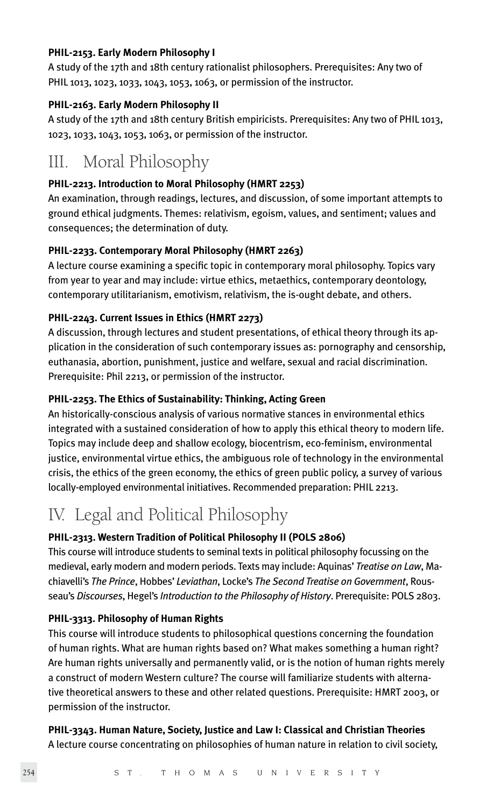#### **PHIL-2153. Early Modern Philosophy I**

A study of the 17th and 18th century rationalist philosophers. Prerequisites: Any two of PHIL 1013, 1023, 1033, 1043, 1053, 1063, or permission of the instructor.

#### **PHIL-2163. Early Modern Philosophy II**

A study of the 17th and 18th century British empiricists. Prerequisites: Any two of PHIL 1013, 1023, 1033, 1043, 1053, 1063, or permission of the instructor.

### III. Moral Philosophy

#### **PHIL-2213. Introduction to Moral Philosophy (HMRT 2253)**

An examination, through readings, lectures, and discussion, of some important attempts to ground ethical judgments. Themes: relativism, egoism, values, and sentiment; values and consequences; the determination of duty.

#### **PHIL-2233. Contemporary Moral Philosophy (HMRT 2263)**

A lecture course examining a specific topic in contemporary moral philosophy. Topics vary from year to year and may include: virtue ethics, metaethics, contemporary deontology, contemporary utilitarianism, emotivism, relativism, the is-ought debate, and others.

#### **PHIL-2243. Current Issues in Ethics (HMRT 2273)**

A discussion, through lectures and student presentations, of ethical theory through its application in the consideration of such contemporary issues as: pornography and censorship, euthanasia, abortion, punishment, justice and welfare, sexual and racial discrimination. Prerequisite: Phil 2213, or permission of the instructor.

#### **PHIL-2253. The Ethics of Sustainability: Thinking, Acting Green**

An historically-conscious analysis of various normative stances in environmental ethics integrated with a sustained consideration of how to apply this ethical theory to modern life. Topics may include deep and shallow ecology, biocentrism, eco-feminism, environmental justice, environmental virtue ethics, the ambiguous role of technology in the environmental crisis, the ethics of the green economy, the ethics of green public policy, a survey of various locally-employed environmental initiatives. Recommended preparation: PHIL 2213.

# IV. Legal and Political Philosophy

#### **PHIL-2313. Western Tradition of Political Philosophy II (POLS 2806)**

This course will introduce students to seminal texts in political philosophy focussing on the medieval, early modern and modern periods. Texts may include: Aquinas' *Treatise on Law*, Machiavelli's *The Prince*, Hobbes' *Leviathan*, Locke's *The Second Treatise on Government*, Rousseau's *Discourses*, Hegel's *Introduction to the Philosophy of History*. Prerequisite: POLS 2803.

#### **PHIL-3313. Philosophy of Human Rights**

This course will introduce students to philosophical questions concerning the foundation of human rights. What are human rights based on? What makes something a human right? Are human rights universally and permanently valid, or is the notion of human rights merely a construct of modern Western culture? The course will familiarize students with alternative theoretical answers to these and other related questions. Prerequisite: HMRT 2003, or permission of the instructor.

#### **PHIL-3343. Human Nature, Society, Justice and Law I: Classical and Christian Theories** A lecture course concentrating on philosophies of human nature in relation to civil society,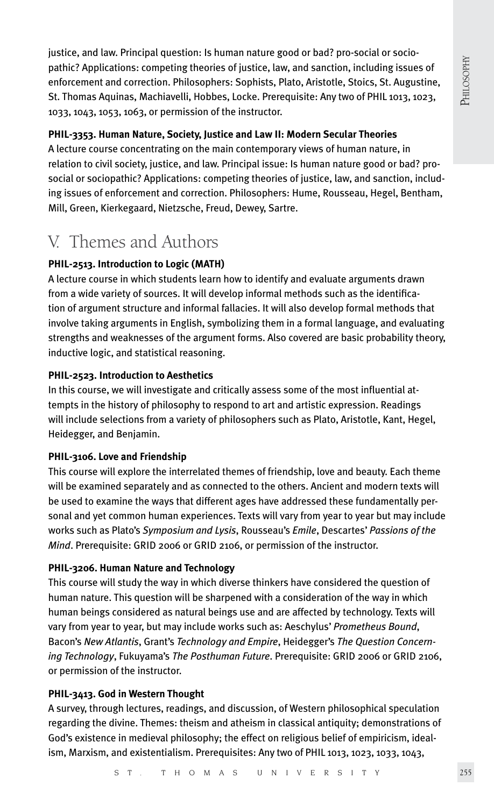justice, and law. Principal question: Is human nature good or bad? pro-social or sociopathic? Applications: competing theories of justice, law, and sanction, including issues of enforcement and correction. Philosophers: Sophists, Plato, Aristotle, Stoics, St. Augustine, St. Thomas Aquinas, Machiavelli, Hobbes, Locke. Prerequisite: Any two of PHIL 1013, 1023, 1033, 1043, 1053, 1063, or permission of the instructor.

#### **PHIL-3353. Human Nature, Society, Justice and Law II: Modern Secular Theories**

A lecture course concentrating on the main contemporary views of human nature, in relation to civil society, justice, and law. Principal issue: Is human nature good or bad? prosocial or sociopathic? Applications: competing theories of justice, law, and sanction, including issues of enforcement and correction. Philosophers: Hume, Rousseau, Hegel, Bentham, Mill, Green, Kierkegaard, Nietzsche, Freud, Dewey, Sartre.

# V. Themes and Authors

#### **PHIL-2513. Introduction to Logic (MATH)**

A lecture course in which students learn how to identify and evaluate arguments drawn from a wide variety of sources. It will develop informal methods such as the identification of argument structure and informal fallacies. It will also develop formal methods that involve taking arguments in English, symbolizing them in a formal language, and evaluating strengths and weaknesses of the argument forms. Also covered are basic probability theory, inductive logic, and statistical reasoning.

#### **PHIL-2523. Introduction to Aesthetics**

In this course, we will investigate and critically assess some of the most influential attempts in the history of philosophy to respond to art and artistic expression. Readings will include selections from a variety of philosophers such as Plato, Aristotle, Kant, Hegel, Heidegger, and Benjamin.

#### **PHIL-3106. Love and Friendship**

This course will explore the interrelated themes of friendship, love and beauty. Each theme will be examined separately and as connected to the others. Ancient and modern texts will be used to examine the ways that different ages have addressed these fundamentally personal and yet common human experiences. Texts will vary from year to year but may include works such as Plato's *Symposium and Lysis*, Rousseau's *Emile*, Descartes' *Passions of the Mind*. Prerequisite: GRID 2006 or GRID 2106, or permission of the instructor.

#### **PHIL-3206. Human Nature and Technology**

This course will study the way in which diverse thinkers have considered the question of human nature. This question will be sharpened with a consideration of the way in which human beings considered as natural beings use and are affected by technology. Texts will vary from year to year, but may include works such as: Aeschylus' *Prometheus Bound*, Bacon's *New Atlantis*, Grant's *Technology and Empire*, Heidegger's *The Question Concerning Technology*, Fukuyama's *The Posthuman Future*. Prerequisite: GRID 2006 or GRID 2106, or permission of the instructor.

#### **PHIL-3413. God in Western Thought**

A survey, through lectures, readings, and discussion, of Western philosophical speculation regarding the divine. Themes: theism and atheism in classical antiquity; demonstrations of God's existence in medieval philosophy; the effect on religious belief of empiricism, idealism, Marxism, and existentialism. Prerequisites: Any two of PHIL 1013, 1023, 1033, 1043,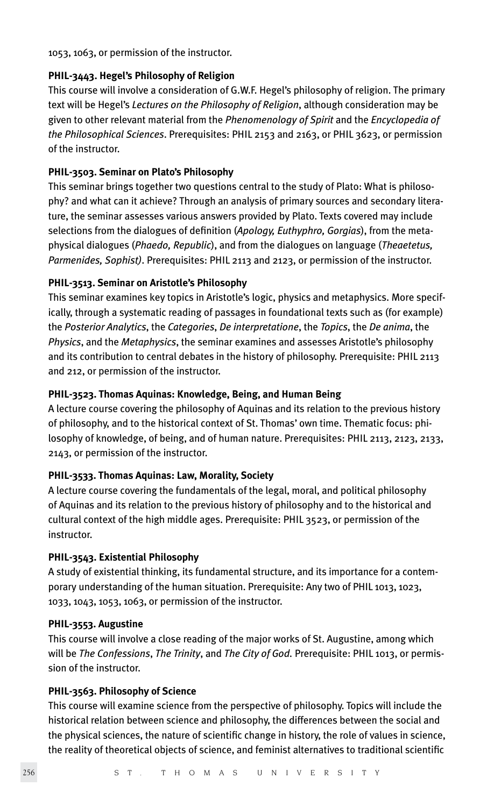1053, 1063, or permission of the instructor.

#### **PHIL-3443. Hegel's Philosophy of Religion**

This course will involve a consideration of G.W.F. Hegel's philosophy of religion. The primary text will be Hegel's *Lectures on the Philosophy of Religion*, although consideration may be given to other relevant material from the *Phenomenology of Spirit* and the *Encyclopedia of the Philosophical Sciences*. Prerequisites: PHIL 2153 and 2163, or PHIL 3623, or permission of the instructor.

#### **PHIL-3503. Seminar on Plato's Philosophy**

This seminar brings together two questions central to the study of Plato: What is philosophy? and what can it achieve? Through an analysis of primary sources and secondary literature, the seminar assesses various answers provided by Plato. Texts covered may include selections from the dialogues of definition (*Apology, Euthyphro, Gorgias*), from the metaphysical dialogues (*Phaedo, Republic*), and from the dialogues on language (*Theaetetus, Parmenides, Sophist)*. Prerequisites: PHIL 2113 and 2123, or permission of the instructor.

#### **PHIL-3513. Seminar on Aristotle's Philosophy**

This seminar examines key topics in Aristotle's logic, physics and metaphysics. More specifically, through a systematic reading of passages in foundational texts such as (for example) the *Posterior Analytics*, the *Categories*, *De interpretatione*, the *Topics*, the *De anima*, the *Physics*, and the *Metaphysics*, the seminar examines and assesses Aristotle's philosophy and its contribution to central debates in the history of philosophy. Prerequisite: PHIL 2113 and 212, or permission of the instructor.

#### **PHIL-3523. Thomas Aquinas: Knowledge, Being, and Human Being**

A lecture course covering the philosophy of Aquinas and its relation to the previous history of philosophy, and to the historical context of St. Thomas' own time. Thematic focus: philosophy of knowledge, of being, and of human nature. Prerequisites: PHIL 2113, 2123, 2133, 2143, or permission of the instructor.

#### **PHIL-3533. Thomas Aquinas: Law, Morality, Society**

A lecture course covering the fundamentals of the legal, moral, and political philosophy of Aquinas and its relation to the previous history of philosophy and to the historical and cultural context of the high middle ages. Prerequisite: PHIL 3523, or permission of the instructor.

#### **PHIL-3543. Existential Philosophy**

A study of existential thinking, its fundamental structure, and its importance for a contemporary understanding of the human situation. Prerequisite: Any two of PHIL 1013, 1023, 1033, 1043, 1053, 1063, or permission of the instructor.

#### **PHIL-3553. Augustine**

This course will involve a close reading of the major works of St. Augustine, among which will be *The Confessions*, *The Trinity*, and *The City of God.* Prerequisite: PHIL 1013, or permission of the instructor.

#### **PHIL-3563. Philosophy of Science**

This course will examine science from the perspective of philosophy. Topics will include the historical relation between science and philosophy, the differences between the social and the physical sciences, the nature of scientific change in history, the role of values in science, the reality of theoretical objects of science, and feminist alternatives to traditional scientific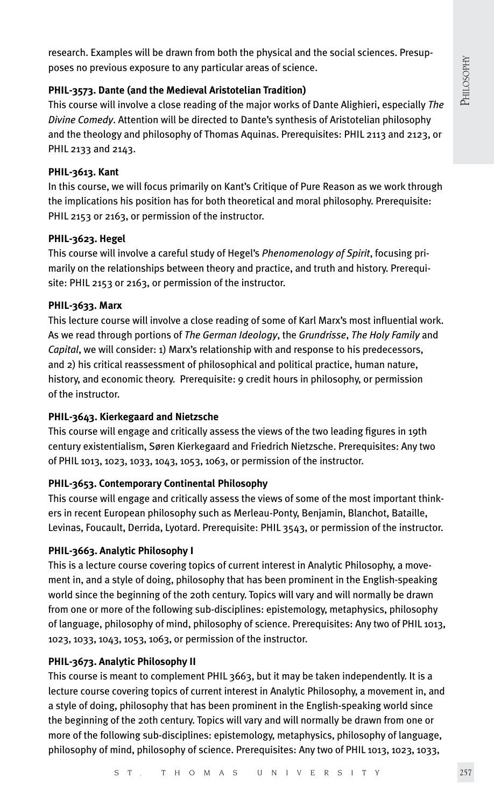research. Examples will be drawn from both the physical and the social sciences. Presupposes no previous exposure to any particular areas of science.

#### **PHIL-3573. Dante (and the Medieval Aristotelian Tradition)**

This course will involve a close reading of the major works of Dante Alighieri, especially *The Divine Comedy*. Attention will be directed to Dante's synthesis of Aristotelian philosophy and the theology and philosophy of Thomas Aquinas. Prerequisites: PHIL 2113 and 2123, or PHIL 2133 and 2143.

#### **PHIL-3613. Kant**

In this course, we will focus primarily on Kant's Critique of Pure Reason as we work through the implications his position has for both theoretical and moral philosophy. Prerequisite: PHIL 2153 or 2163, or permission of the instructor.

#### **PHIL-3623. Hegel**

This course will involve a careful study of Hegel's *Phenomenology of Spirit*, focusing primarily on the relationships between theory and practice, and truth and history. Prerequisite: PHIL 2153 or 2163, or permission of the instructor.

#### **PHIL-3633. Marx**

This lecture course will involve a close reading of some of Karl Marx's most influential work. As we read through portions of *The German Ideology*, the *Grundrisse*, *The Holy Family* and *Capital*, we will consider: 1) Marx's relationship with and response to his predecessors, and 2) his critical reassessment of philosophical and political practice, human nature, history, and economic theory. Prerequisite: 9 credit hours in philosophy, or permission of the instructor.

#### **PHIL-3643. Kierkegaard and Nietzsche**

This course will engage and critically assess the views of the two leading figures in 19th century existentialism, Søren Kierkegaard and Friedrich Nietzsche. Prerequisites: Any two of PHIL 1013, 1023, 1033, 1043, 1053, 1063, or permission of the instructor.

#### **PHIL-3653. Contemporary Continental Philosophy**

This course will engage and critically assess the views of some of the most important thinkers in recent European philosophy such as Merleau-Ponty, Benjamin, Blanchot, Bataille, Levinas, Foucault, Derrida, Lyotard. Prerequisite: PHIL 3543, or permission of the instructor.

#### **PHIL-3663. Analytic Philosophy I**

This is a lecture course covering topics of current interest in Analytic Philosophy, a movement in, and a style of doing, philosophy that has been prominent in the English-speaking world since the beginning of the 20th century. Topics will vary and will normally be drawn from one or more of the following sub-disciplines: epistemology, metaphysics, philosophy of language, philosophy of mind, philosophy of science. Prerequisites: Any two of PHIL 1013, 1023, 1033, 1043, 1053, 1063, or permission of the instructor.

#### **PHIL-3673. Analytic Philosophy II**

This course is meant to complement PHIL 3663, but it may be taken independently. It is a lecture course covering topics of current interest in Analytic Philosophy, a movement in, and a style of doing, philosophy that has been prominent in the English-speaking world since the beginning of the 20th century. Topics will vary and will normally be drawn from one or more of the following sub-disciplines: epistemology, metaphysics, philosophy of language, philosophy of mind, philosophy of science. Prerequisites: Any two of PHIL 1013, 1023, 1033,